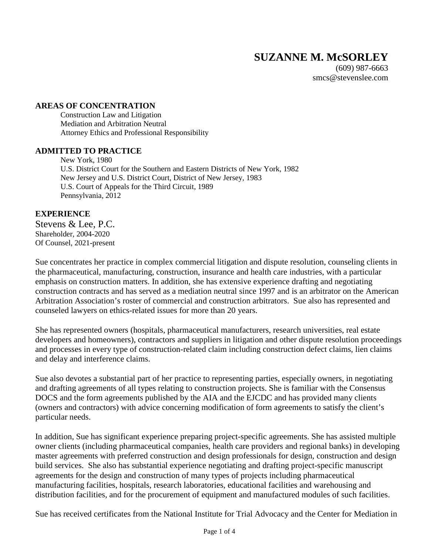(609) 987-6663 smcs@stevenslee.com

#### **AREAS OF CONCENTRATION**

Construction Law and Litigation Mediation and Arbitration Neutral Attorney Ethics and Professional Responsibility

#### **ADMITTED TO PRACTICE**

New York, 1980 U.S. District Court for the Southern and Eastern Districts of New York, 1982 New Jersey and U.S. District Court, District of New Jersey, 1983 U.S. Court of Appeals for the Third Circuit, 1989 Pennsylvania, 2012

## **EXPERIENCE**

Stevens & Lee, P.C. Shareholder, 2004-2020 Of Counsel, 2021-present

Sue concentrates her practice in complex commercial litigation and dispute resolution, counseling clients in the pharmaceutical, manufacturing, construction, insurance and health care industries, with a particular emphasis on construction matters. In addition, she has extensive experience drafting and negotiating construction contracts and has served as a mediation neutral since 1997 and is an arbitrator on the American Arbitration Association's roster of commercial and construction arbitrators. Sue also has represented and counseled lawyers on ethics-related issues for more than 20 years.

She has represented owners (hospitals, pharmaceutical manufacturers, research universities, real estate developers and homeowners), contractors and suppliers in litigation and other dispute resolution proceedings and processes in every type of construction-related claim including construction defect claims, lien claims and delay and interference claims.

Sue also devotes a substantial part of her practice to representing parties, especially owners, in negotiating and drafting agreements of all types relating to construction projects. She is familiar with the Consensus DOCS and the form agreements published by the AIA and the EJCDC and has provided many clients (owners and contractors) with advice concerning modification of form agreements to satisfy the client's particular needs.

In addition, Sue has significant experience preparing project-specific agreements. She has assisted multiple owner clients (including pharmaceutical companies, health care providers and regional banks) in developing master agreements with preferred construction and design professionals for design, construction and design build services. She also has substantial experience negotiating and drafting project-specific manuscript agreements for the design and construction of many types of projects including pharmaceutical manufacturing facilities, hospitals, research laboratories, educational facilities and warehousing and distribution facilities, and for the procurement of equipment and manufactured modules of such facilities.

Sue has received certificates from the National Institute for Trial Advocacy and the Center for Mediation in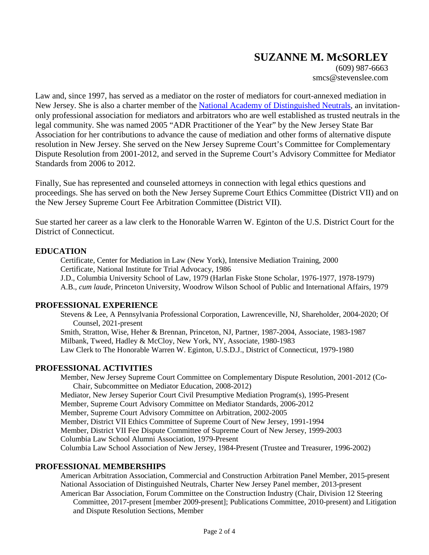(609) 987-6663 smcs@stevenslee.com

Law and, since 1997, has served as a mediator on the roster of mediators for court-annexed mediation in New Jersey. She is also a charter member of the National Academy of Distinguished Neutrals, an invitationonly professional association for mediators and arbitrators who are well established as trusted neutrals in the legal community. She was named 2005 "ADR Practitioner of the Year" by the New Jersey State Bar Association for her contributions to advance the cause of mediation and other forms of alternative dispute resolution in New Jersey. She served on the New Jersey Supreme Court's Committee for Complementary Dispute Resolution from 2001-2012, and served in the Supreme Court's Advisory Committee for Mediator Standards from 2006 to 2012.

Finally, Sue has represented and counseled attorneys in connection with legal ethics questions and proceedings. She has served on both the New Jersey Supreme Court Ethics Committee (District VII) and on the New Jersey Supreme Court Fee Arbitration Committee (District VII).

Sue started her career as a law clerk to the Honorable Warren W. Eginton of the U.S. District Court for the District of Connecticut.

## **EDUCATION**

Certificate, Center for Mediation in Law (New York), Intensive Mediation Training, 2000 Certificate, National Institute for Trial Advocacy, 1986 J.D., Columbia University School of Law, 1979 (Harlan Fiske Stone Scholar, 1976-1977, 1978-1979) A.B., *cum laude*, Princeton University, Woodrow Wilson School of Public and International Affairs, 1979

## **PROFESSIONAL EXPERIENCE**

Stevens & Lee, A Pennsylvania Professional Corporation, Lawrenceville, NJ, Shareholder, 2004-2020; Of Counsel, 2021-present Smith, Stratton, Wise, Heher & Brennan, Princeton, NJ, Partner, 1987-2004, Associate, 1983-1987 Milbank, Tweed, Hadley & McCloy, New York, NY, Associate, 1980-1983

Law Clerk to The Honorable Warren W. Eginton, U.S.D.J., District of Connecticut, 1979-1980

## **PROFESSIONAL ACTIVITIES**

Member, New Jersey Supreme Court Committee on Complementary Dispute Resolution, 2001-2012 (Co-Chair, Subcommittee on Mediator Education, 2008-2012) Mediator, New Jersey Superior Court Civil Presumptive Mediation Program(s), 1995-Present Member, Supreme Court Advisory Committee on Mediator Standards, 2006-2012 Member, Supreme Court Advisory Committee on Arbitration, 2002-2005 Member, District VII Ethics Committee of Supreme Court of New Jersey, 1991-1994 Member, District VII Fee Dispute Committee of Supreme Court of New Jersey, 1999-2003 Columbia Law School Alumni Association, 1979-Present Columbia Law School Association of New Jersey, 1984-Present (Trustee and Treasurer, 1996-2002)

## **PROFESSIONAL MEMBERSHIPS**

American Arbitration Association, Commercial and Construction Arbitration Panel Member, 2015-present National Association of Distinguished Neutrals, Charter New Jersey Panel member, 2013-present American Bar Association, Forum Committee on the Construction Industry (Chair, Division 12 Steering

Committee, 2017-present [member 2009-present]; Publications Committee, 2010-present) and Litigation and Dispute Resolution Sections, Member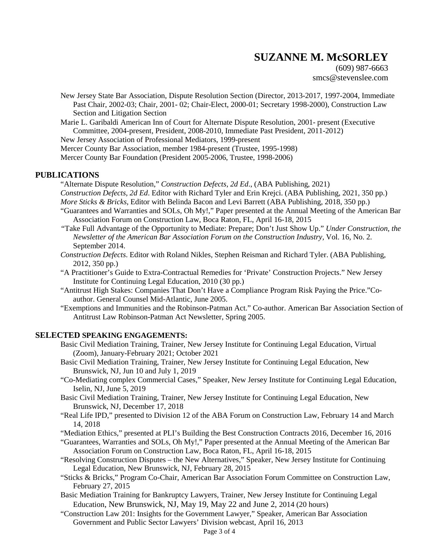(609) 987-6663 smcs@stevenslee.com

- New Jersey State Bar Association, Dispute Resolution Section (Director, 2013-2017, 1997-2004, Immediate Past Chair, 2002-03; Chair, 2001- 02; Chair-Elect, 2000-01; Secretary 1998-2000), Construction Law Section and Litigation Section
- Marie L. Garibaldi American Inn of Court for Alternate Dispute Resolution, 2001- present (Executive Committee, 2004-present, President, 2008-2010, Immediate Past President, 2011-2012)

New Jersey Association of Professional Mediators, 1999-present

- Mercer County Bar Association, member 1984-present (Trustee, 1995-1998)
- Mercer County Bar Foundation (President 2005-2006, Trustee, 1998-2006)

#### **PUBLICATIONS**

"Alternate Dispute Resolution," *Construction Defects, 2d Ed*., (ABA Publishing, 2021) *Construction Defects, 2d Ed*. Editor with Richard Tyler and Erin Krejci. (ABA Publishing, 2021, 350 pp.) *More Sticks & Bricks*, Editor with Belinda Bacon and Levi Barrett (ABA Publishing, 2018, 350 pp.)

- "Guarantees and Warranties and SOLs, Oh My!," Paper presented at the Annual Meeting of the American Bar Association Forum on Construction Law, Boca Raton, FL, April 16-18, 2015
- *"*Take Full Advantage of the Opportunity to Mediate: Prepare; Don't Just Show Up." *Under Construction, the Newsletter of the American Bar Association Forum on the Construction Industry,* Vol. 16, No. 2. September 2014.
- *Construction Defects*. Editor with Roland Nikles, Stephen Reisman and Richard Tyler. (ABA Publishing, 2012, 350 pp.)
- "A Practitioner's Guide to Extra-Contractual Remedies for 'Private' Construction Projects." New Jersey Institute for Continuing Legal Education, 2010 (30 pp.)
- "Antitrust High Stakes: Companies That Don't Have a Compliance Program Risk Paying the Price."Coauthor. General Counsel Mid-Atlantic, June 2005.
- "Exemptions and Immunities and the Robinson-Patman Act." Co-author. American Bar Association Section of Antitrust Law Robinson-Patman Act Newsletter, Spring 2005.

#### **SELECTED SPEAKING ENGAGEMENTS:**

- Basic Civil Mediation Training, Trainer, New Jersey Institute for Continuing Legal Education, Virtual (Zoom), January-February 2021; October 2021
- Basic Civil Mediation Training, Trainer, New Jersey Institute for Continuing Legal Education, New Brunswick, NJ, Jun 10 and July 1, 2019
- "Co-Mediating complex Commercial Cases," Speaker, New Jersey Institute for Continuing Legal Education, Iselin, NJ, June 5, 2019
- Basic Civil Mediation Training, Trainer, New Jersey Institute for Continuing Legal Education, New Brunswick, NJ, December 17, 2018
- "Real Life IPD," presented to Division 12 of the ABA Forum on Construction Law, February 14 and March 14, 2018
- "Mediation Ethics," presented at PLI's Building the Best Construction Contracts 2016, December 16, 2016
- "Guarantees, Warranties and SOLs, Oh My!," Paper presented at the Annual Meeting of the American Bar Association Forum on Construction Law, Boca Raton, FL, April 16-18, 2015
- "Resolving Construction Disputes the New Alternatives," Speaker, New Jersey Institute for Continuing Legal Education, New Brunswick, NJ, February 28, 2015
- "Sticks & Bricks," Program Co-Chair, American Bar Association Forum Committee on Construction Law, February 27, 2015
- Basic Mediation Training for Bankruptcy Lawyers, Trainer, New Jersey Institute for Continuing Legal Education, New Brunswick, NJ, May 19, May 22 and June 2, 2014 (20 hours)
- "Construction Law 201: Insights for the Government Lawyer," Speaker, American Bar Association Government and Public Sector Lawyers' Division webcast, April 16, 2013